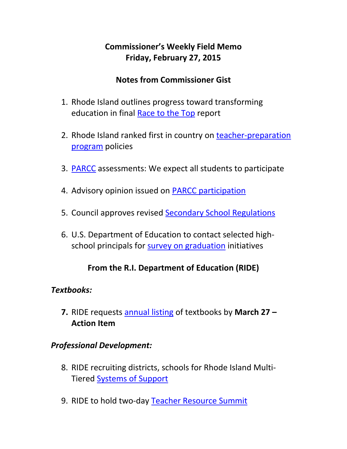# **Commissioner's Weekly Field Memo Friday, February 27, 2015**

## **Notes from Commissioner Gist**

- 1. Rhode Island outlines progress toward transforming education in final Race to the Top report
- 2. Rhode Island ranked first in country on teacher-preparation program policies
- 3. PARCC assessments: We expect all students to participate
- 4. Advisory opinion issued on PARCC participation
- 5. Council approves revised Secondary School Regulations
- 6. U.S. Department of Education to contact selected high‐ school principals for survey on graduation initiatives

## **From the R.I. Department of Education (RIDE)**

### *Textbooks:*

**7.** RIDE requests annual listing of textbooks by **March 27 – Action Item** 

## *Professional Development:*

- 8. RIDE recruiting districts, schools for Rhode Island Multi‐ Tiered Systems of Support
- 9. RIDE to hold two-day Teacher Resource Summit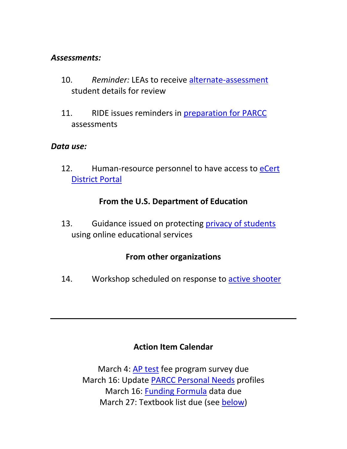#### *Assessments:*

- 10. *Reminder:* LEAs to receive alternate‐assessment student details for review
- 11. RIDE issues reminders in preparation for PARCC assessments

#### *Data use:*

12. Human-resource personnel to have access to eCert District Portal

### **From the U.S. Department of Education**

13. Guidance issued on protecting privacy of students using online educational services

### **From other organizations**

14. Workshop scheduled on response to active shooter

### **Action Item Calendar**

March 4: AP test fee program survey due March 16: Update PARCC Personal Needs profiles March 16: Funding Formula data due March 27: Textbook list due (see below)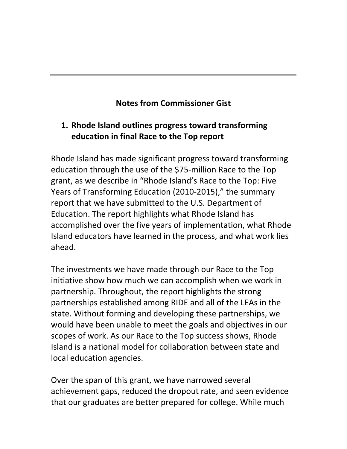# **Notes from Commissioner Gist**

# **1. Rhode Island outlines progress toward transforming education in final Race to the Top report**

Rhode Island has made significant progress toward transforming education through the use of the \$75‐million Race to the Top grant, as we describe in "Rhode Island's Race to the Top: Five Years of Transforming Education (2010‐2015)," the summary report that we have submitted to the U.S. Department of Education. The report highlights what Rhode Island has accomplished over the five years of implementation, what Rhode Island educators have learned in the process, and what work lies ahead.

The investments we have made through our Race to the Top initiative show how much we can accomplish when we work in partnership. Throughout, the report highlights the strong partnerships established among RIDE and all of the LEAs in the state. Without forming and developing these partnerships, we would have been unable to meet the goals and objectives in our scopes of work. As our Race to the Top success shows, Rhode Island is a national model for collaboration between state and local education agencies.

Over the span of this grant, we have narrowed several achievement gaps, reduced the dropout rate, and seen evidence that our graduates are better prepared for college. While much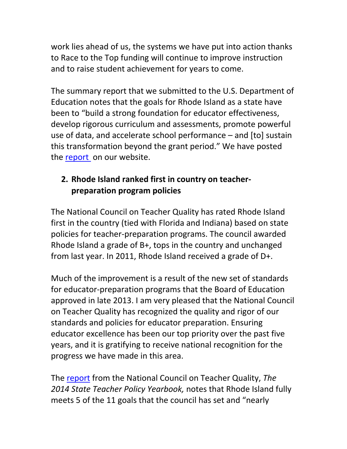work lies ahead of us, the systems we have put into action thanks to Race to the Top funding will continue to improve instruction and to raise student achievement for years to come.

The summary report that we submitted to the U.S. Department of Education notes that the goals for Rhode Island as a state have been to "build a strong foundation for educator effectiveness, develop rigorous curriculum and assessments, promote powerful use of data, and accelerate school performance – and [to] sustain this transformation beyond the grant period." We have posted the report on our website.

## **2. Rhode Island ranked first in country on teacher‐ preparation program policies**

The National Council on Teacher Quality has rated Rhode Island first in the country (tied with Florida and Indiana) based on state policies for teacher‐preparation programs. The council awarded Rhode Island a grade of B+, tops in the country and unchanged from last year. In 2011, Rhode Island received a grade of D+.

Much of the improvement is a result of the new set of standards for educator‐preparation programs that the Board of Education approved in late 2013. I am very pleased that the National Council on Teacher Quality has recognized the quality and rigor of our standards and policies for educator preparation. Ensuring educator excellence has been our top priority over the past five years, and it is gratifying to receive national recognition for the progress we have made in this area.

The report from the National Council on Teacher Quality, *The 2014 State Teacher Policy Yearbook,* notes that Rhode Island fully meets 5 of the 11 goals that the council has set and "nearly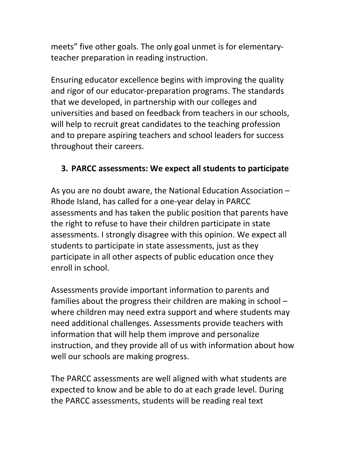meets" five other goals. The only goal unmet is for elementaryteacher preparation in reading instruction.

Ensuring educator excellence begins with improving the quality and rigor of our educator‐preparation programs. The standards that we developed, in partnership with our colleges and universities and based on feedback from teachers in our schools, will help to recruit great candidates to the teaching profession and to prepare aspiring teachers and school leaders for success throughout their careers.

### **3. PARCC assessments: We expect all students to participate**

As you are no doubt aware, the National Education Association – Rhode Island, has called for a one‐year delay in PARCC assessments and has taken the public position that parents have the right to refuse to have their children participate in state assessments. I strongly disagree with this opinion. We expect all students to participate in state assessments, just as they participate in all other aspects of public education once they enroll in school.

Assessments provide important information to parents and families about the progress their children are making in school – where children may need extra support and where students may need additional challenges. Assessments provide teachers with information that will help them improve and personalize instruction, and they provide all of us with information about how well our schools are making progress.

The PARCC assessments are well aligned with what students are expected to know and be able to do at each grade level. During the PARCC assessments, students will be reading real text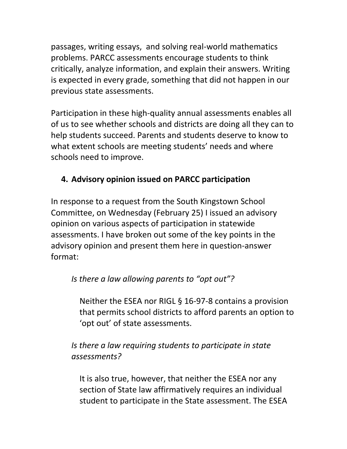passages, writing essays, and solving real‐world mathematics problems. PARCC assessments encourage students to think critically, analyze information, and explain their answers. Writing is expected in every grade, something that did not happen in our previous state assessments.

Participation in these high‐quality annual assessments enables all of us to see whether schools and districts are doing all they can to help students succeed. Parents and students deserve to know to what extent schools are meeting students' needs and where schools need to improve.

# **4. Advisory opinion issued on PARCC participation**

In response to a request from the South Kingstown School Committee, on Wednesday (February 25) I issued an advisory opinion on various aspects of participation in statewide assessments. I have broken out some of the key points in the advisory opinion and present them here in question‐answer format:

### *Is there a law allowing parents to "opt out"?*

Neither the ESEA nor RIGL § 16‐97‐8 contains a provision that permits school districts to afford parents an option to 'opt out' of state assessments.

## *Is there a law requiring students to participate in state assessments?*

It is also true, however, that neither the ESEA nor any section of State law affirmatively requires an individual student to participate in the State assessment. The ESEA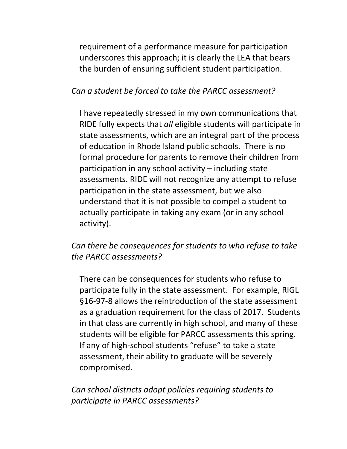requirement of a performance measure for participation underscores this approach; it is clearly the LEA that bears the burden of ensuring sufficient student participation.

#### *Can a student be forced to take the PARCC assessment?*

I have repeatedly stressed in my own communications that RIDE fully expects that *all* eligible students will participate in state assessments, which are an integral part of the process of education in Rhode Island public schools. There is no formal procedure for parents to remove their children from participation in any school activity – including state assessments. RIDE will not recognize any attempt to refuse participation in the state assessment, but we also understand that it is not possible to compel a student to actually participate in taking any exam (or in any school activity).

### *Can there be consequences for students to who refuse to take the PARCC assessments?*

There can be consequences for students who refuse to participate fully in the state assessment. For example, RIGL §16‐97‐8 allows the reintroduction of the state assessment as a graduation requirement for the class of 2017. Students in that class are currently in high school, and many of these students will be eligible for PARCC assessments this spring. If any of high‐school students "refuse" to take a state assessment, their ability to graduate will be severely compromised.

*Can school districts adopt policies requiring students to participate in PARCC assessments?*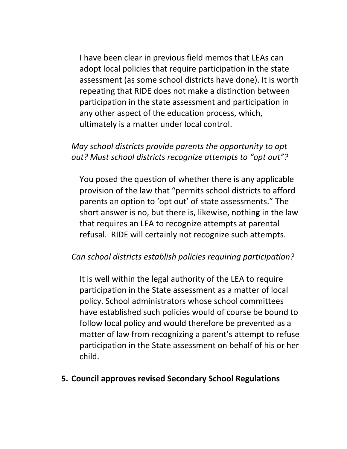I have been clear in previous field memos that LEAs can adopt local policies that require participation in the state assessment (as some school districts have done). It is worth repeating that RIDE does not make a distinction between participation in the state assessment and participation in any other aspect of the education process, which, ultimately is a matter under local control.

## *May school districts provide parents the opportunity to opt out? Must school districts recognize attempts to "opt out"?*

You posed the question of whether there is any applicable provision of the law that "permits school districts to afford parents an option to 'opt out' of state assessments." The short answer is no, but there is, likewise, nothing in the law that requires an LEA to recognize attempts at parental refusal. RIDE will certainly not recognize such attempts.

### *Can school districts establish policies requiring participation?*

It is well within the legal authority of the LEA to require participation in the State assessment as a matter of local policy. School administrators whose school committees have established such policies would of course be bound to follow local policy and would therefore be prevented as a matter of law from recognizing a parent's attempt to refuse participation in the State assessment on behalf of his or her child.

#### **5. Council approves revised Secondary School Regulations**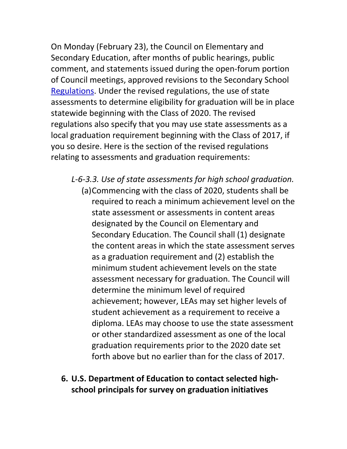On Monday (February 23), the Council on Elementary and Secondary Education, after months of public hearings, public comment, and statements issued during the open‐forum portion of Council meetings, approved revisions to the Secondary School Regulations. Under the revised regulations, the use of state assessments to determine eligibility for graduation will be in place statewide beginning with the Class of 2020. The revised regulations also specify that you may use state assessments as a local graduation requirement beginning with the Class of 2017, if you so desire. Here is the section of the revised regulations relating to assessments and graduation requirements:

- *L‐6‐3.3. Use of state assessments for high school graduation.* 
	- (a)Commencing with the class of 2020, students shall be required to reach a minimum achievement level on the state assessment or assessments in content areas designated by the Council on Elementary and Secondary Education. The Council shall (1) designate the content areas in which the state assessment serves as a graduation requirement and (2) establish the minimum student achievement levels on the state assessment necessary for graduation. The Council will determine the minimum level of required achievement; however, LEAs may set higher levels of student achievement as a requirement to receive a diploma. LEAs may choose to use the state assessment or other standardized assessment as one of the local graduation requirements prior to the 2020 date set forth above but no earlier than for the class of 2017.
- **6. U.S. Department of Education to contact selected high‐ school principals for survey on graduation initiatives**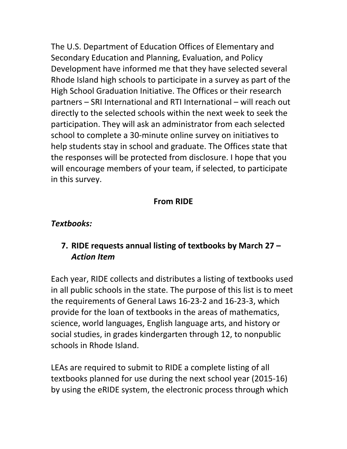The U.S. Department of Education Offices of Elementary and Secondary Education and Planning, Evaluation, and Policy Development have informed me that they have selected several Rhode Island high schools to participate in a survey as part of the High School Graduation Initiative. The Offices or their research partners – SRI International and RTI International – will reach out directly to the selected schools within the next week to seek the participation. They will ask an administrator from each selected school to complete a 30‐minute online survey on initiatives to help students stay in school and graduate. The Offices state that the responses will be protected from disclosure. I hope that you will encourage members of your team, if selected, to participate in this survey.

### **From RIDE**

### *Textbooks:*

## **7. RIDE requests annual listing of textbooks by March 27 –** *Action Item*

Each year, RIDE collects and distributes a listing of textbooks used in all public schools in the state. The purpose of this list is to meet the requirements of General Laws 16‐23‐2 and 16‐23‐3, which provide for the loan of textbooks in the areas of mathematics, science, world languages, English language arts, and history or social studies, in grades kindergarten through 12, to nonpublic schools in Rhode Island.

LEAs are required to submit to RIDE a complete listing of all textbooks planned for use during the next school year (2015‐16) by using the eRIDE system, the electronic process through which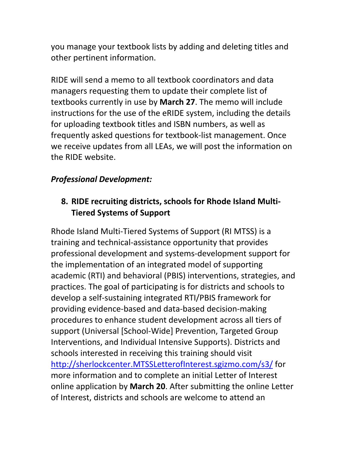you manage your textbook lists by adding and deleting titles and other pertinent information.

RIDE will send a memo to all textbook coordinators and data managers requesting them to update their complete list of textbooks currently in use by **March 27**. The memo will include instructions for the use of the eRIDE system, including the details for uploading textbook titles and ISBN numbers, as well as frequently asked questions for textbook‐list management. Once we receive updates from all LEAs, we will post the information on the RIDE website.

## *Professional Development:*

# **8. RIDE recruiting districts, schools for Rhode Island Multi‐ Tiered Systems of Support**

Rhode Island Multi‐Tiered Systems of Support (RI MTSS) is a training and technical‐assistance opportunity that provides professional development and systems‐development support for the implementation of an integrated model of supporting academic (RTI) and behavioral (PBIS) interventions, strategies, and practices. The goal of participating is for districts and schools to develop a self‐sustaining integrated RTI/PBIS framework for providing evidence‐based and data‐based decision‐making procedures to enhance student development across all tiers of support (Universal [School‐Wide] Prevention, Targeted Group Interventions, and Individual Intensive Supports). Districts and schools interested in receiving this training should visit http://sherlockcenter.MTSSLetterofInterest.sgizmo.com/s3/ for more information and to complete an initial Letter of Interest online application by **March 20**. After submitting the online Letter of Interest, districts and schools are welcome to attend an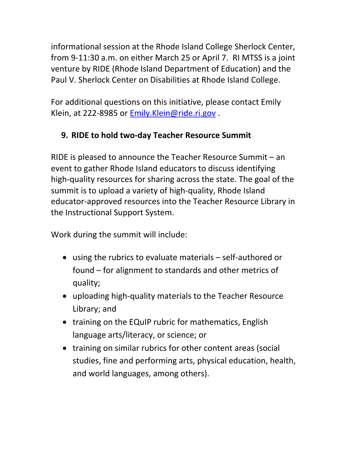informational session at the Rhode Island College Sherlock Center, from 9‐11:30 a.m. on either March 25 or April 7. RI MTSS is a joint venture by RIDE (Rhode Island Department of Education) and the Paul V. Sherlock Center on Disabilities at Rhode Island College.

For additional questions on this initiative, please contact Emily Klein, at 222‐8985 or Emily.Klein@ride.ri.gov .

# **9. RIDE to hold two‐day Teacher Resource Summit**

RIDE is pleased to announce the Teacher Resource Summit – an event to gather Rhode Island educators to discuss identifying high-quality resources for sharing across the state. The goal of the summit is to upload a variety of high‐quality, Rhode Island educator‐approved resources into the Teacher Resource Library in the Instructional Support System.

Work during the summit will include:

- using the rubrics to evaluate materials self‐authored or found – for alignment to standards and other metrics of quality;
- uploading high-quality materials to the Teacher Resource Library; and
- training on the EQuIP rubric for mathematics, English language arts/literacy, or science; or
- training on similar rubrics for other content areas (social studies, fine and performing arts, physical education, health, and world languages, among others).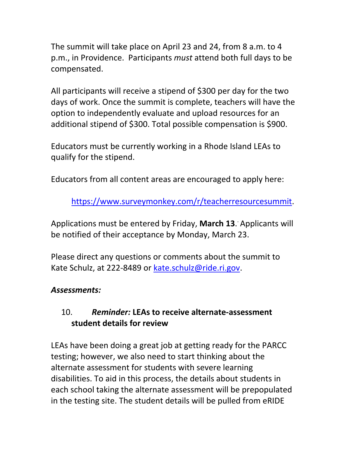The summit will take place on April 23 and 24, from 8 a.m. to 4 p.m., in Providence. Participants *must* attend both full days to be compensated.

All participants will receive a stipend of \$300 per day for the two days of work. Once the summit is complete, teachers will have the option to independently evaluate and upload resources for an additional stipend of \$300. Total possible compensation is \$900.

Educators must be currently working in a Rhode Island LEAs to qualify for the stipend.

Educators from all content areas are encouraged to apply here:

https://www.surveymonkey.com/r/teacherresourcesummit.

Applications must be entered by Friday, **March 13**. . Applicants will be notified of their acceptance by Monday, March 23.

Please direct any questions or comments about the summit to Kate Schulz, at 222‐8489 or kate.schulz@ride.ri.gov.

### *Assessments:*

## 10. *Reminder:* **LEAs to receive alternate‐assessment student details for review**

LEAs have been doing a great job at getting ready for the PARCC testing; however, we also need to start thinking about the alternate assessment for students with severe learning disabilities. To aid in this process, the details about students in each school taking the alternate assessment will be prepopulated in the testing site. The student details will be pulled from eRIDE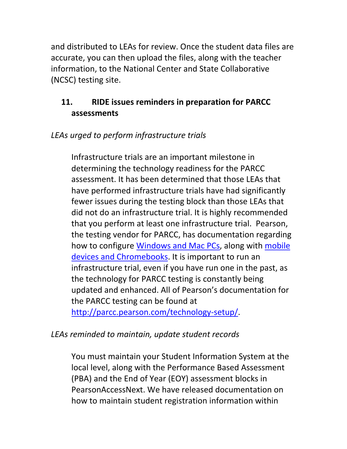and distributed to LEAs for review. Once the student data files are accurate, you can then upload the files, along with the teacher information, to the National Center and State Collaborative (NCSC) testing site.

## **11. RIDE issues reminders in preparation for PARCC assessments**

## *LEAs urged to perform infrastructure trials*

Infrastructure trials are an important milestone in determining the technology readiness for the PARCC assessment. It has been determined that those LEAs that have performed infrastructure trials have had significantly fewer issues during the testing block than those LEAs that did not do an infrastructure trial. It is highly recommended that you perform at least one infrastructure trial. Pearson, the testing vendor for PARCC, has documentation regarding how to configure Windows and Mac PCs, along with mobile devices and Chromebooks. It is important to run an infrastructure trial, even if you have run one in the past, as the technology for PARCC testing is constantly being updated and enhanced. All of Pearson's documentation for the PARCC testing can be found at http://parcc.pearson.com/technology‐setup/.

## *LEAs reminded to maintain, update student records*

You must maintain your Student Information System at the local level, along with the Performance Based Assessment (PBA) and the End of Year (EOY) assessment blocks in PearsonAccessNext. We have released documentation on how to maintain student registration information within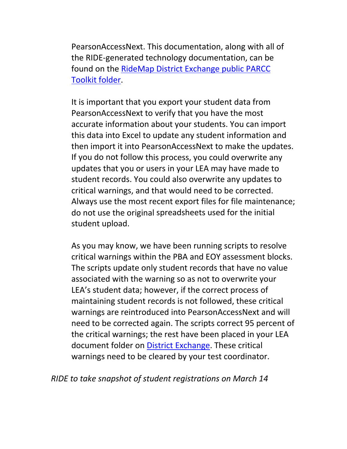PearsonAccessNext. This documentation, along with all of the RIDE‐generated technology documentation, can be found on the RideMap District Exchange public PARCC Toolkit folder.

It is important that you export your student data from PearsonAccessNext to verify that you have the most accurate information about your students. You can import this data into Excel to update any student information and then import it into PearsonAccessNext to make the updates. If you do not follow this process, you could overwrite any updates that you or users in your LEA may have made to student records. You could also overwrite any updates to critical warnings, and that would need to be corrected. Always use the most recent export files for file maintenance; do not use the original spreadsheets used for the initial student upload.

As you may know, we have been running scripts to resolve critical warnings within the PBA and EOY assessment blocks. The scripts update only student records that have no value associated with the warning so as not to overwrite your LEA's student data; however, if the correct process of maintaining student records is not followed, these critical warnings are reintroduced into PearsonAccessNext and will need to be corrected again. The scripts correct 95 percent of the critical warnings; the rest have been placed in your LEA document folder on District Exchange. These critical warnings need to be cleared by your test coordinator.

### *RIDE to take snapshot of student registrations on March 14*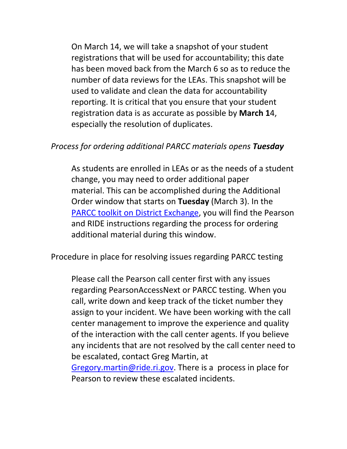On March 14, we will take a snapshot of your student registrations that will be used for accountability; this date has been moved back from the March 6 so as to reduce the number of data reviews for the LEAs. This snapshot will be used to validate and clean the data for accountability reporting. It is critical that you ensure that your student registration data is as accurate as possible by **March 1**4, especially the resolution of duplicates.

#### *Process for ordering additional PARCC materials opens Tuesday*

As students are enrolled in LEAs or as the needs of a student change, you may need to order additional paper material. This can be accomplished during the Additional Order window that starts on **Tuesday** (March 3). In the PARCC toolkit on District Exchange, you will find the Pearson and RIDE instructions regarding the process for ordering additional material during this window.

Procedure in place for resolving issues regarding PARCC testing

Please call the Pearson call center first with any issues regarding PearsonAccessNext or PARCC testing. When you call, write down and keep track of the ticket number they assign to your incident. We have been working with the call center management to improve the experience and quality of the interaction with the call center agents. If you believe any incidents that are not resolved by the call center need to be escalated, contact Greg Martin, at Gregory.martin@ride.ri.gov. There is a process in place for Pearson to review these escalated incidents.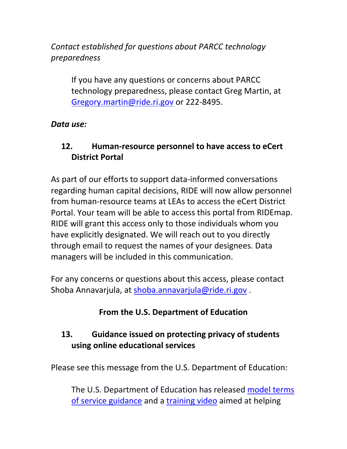*Contact established for questions about PARCC technology preparedness*

If you have any questions or concerns about PARCC technology preparedness, please contact Greg Martin, at Gregory.martin@ride.ri.gov or 222‐8495.

### *Data use:*

# **12. Human‐resource personnel to have access to eCert District Portal**

As part of our efforts to support data‐informed conversations regarding human capital decisions, RIDE will now allow personnel from human‐resource teams at LEAs to access the eCert District Portal. Your team will be able to access this portal from RIDEmap. RIDE will grant this access only to those individuals whom you have explicitly designated. We will reach out to you directly through email to request the names of your designees. Data managers will be included in this communication.

For any concerns or questions about this access, please contact Shoba Annavarjula, at shoba.annavarjula@ride.ri.gov .

# **From the U.S. Department of Education**

# **13. Guidance issued on protecting privacy of students using online educational services**

Please see this message from the U.S. Department of Education:

The U.S. Department of Education has released model terms of service guidance and a training video aimed at helping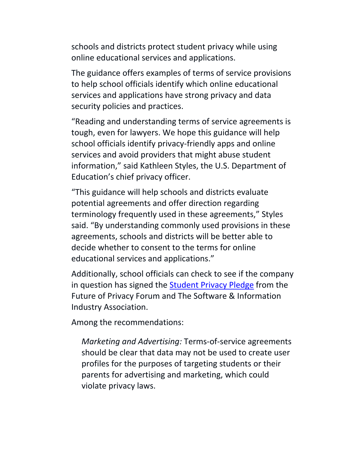schools and districts protect student privacy while using online educational services and applications.

The guidance offers examples of terms of service provisions to help school officials identify which online educational services and applications have strong privacy and data security policies and practices.

"Reading and understanding terms of service agreements is tough, even for lawyers. We hope this guidance will help school officials identify privacy‐friendly apps and online services and avoid providers that might abuse student information," said Kathleen Styles, the U.S. Department of Education's chief privacy officer.

"This guidance will help schools and districts evaluate potential agreements and offer direction regarding terminology frequently used in these agreements," Styles said. "By understanding commonly used provisions in these agreements, schools and districts will be better able to decide whether to consent to the terms for online educational services and applications."

Additionally, school officials can check to see if the company in question has signed the Student Privacy Pledge from the Future of Privacy Forum and The Software & Information Industry Association.

Among the recommendations:

*Marketing and Advertising:* Terms‐of‐service agreements should be clear that data may not be used to create user profiles for the purposes of targeting students or their parents for advertising and marketing, which could violate privacy laws.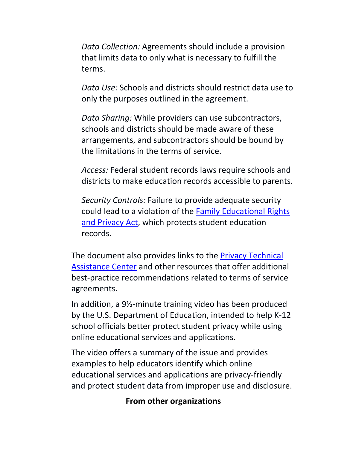*Data Collection:* Agreements should include a provision that limits data to only what is necessary to fulfill the terms.

*Data Use:* Schools and districts should restrict data use to only the purposes outlined in the agreement.

*Data Sharing:* While providers can use subcontractors, schools and districts should be made aware of these arrangements, and subcontractors should be bound by the limitations in the terms of service.

*Access:* Federal student records laws require schools and districts to make education records accessible to parents.

*Security Controls:* Failure to provide adequate security could lead to a violation of the Family Educational Rights and Privacy Act, which protects student education records.

The document also provides links to the Privacy Technical Assistance Center and other resources that offer additional best‐practice recommendations related to terms of service agreements.

In addition, a 9½‐minute training video has been produced by the U.S. Department of Education, intended to help K‐12 school officials better protect student privacy while using online educational services and applications.

The video offers a summary of the issue and provides examples to help educators identify which online educational services and applications are privacy‐friendly and protect student data from improper use and disclosure.

#### **From other organizations**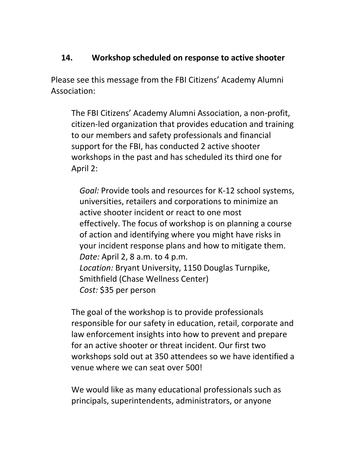### **14. Workshop scheduled on response to active shooter**

Please see this message from the FBI Citizens' Academy Alumni Association:

The FBI Citizens' Academy Alumni Association, a non‐profit, citizen‐led organization that provides education and training to our members and safety professionals and financial support for the FBI, has conducted 2 active shooter workshops in the past and has scheduled its third one for April 2:

*Goal:* Provide tools and resources for K‐12 school systems, universities, retailers and corporations to minimize an active shooter incident or react to one most effectively. The focus of workshop is on planning a course of action and identifying where you might have risks in your incident response plans and how to mitigate them. *Date:* April 2, 8 a.m. to 4 p.m. *Location:* Bryant University, 1150 Douglas Turnpike, Smithfield (Chase Wellness Center) *Cost:* \$35 per person

The goal of the workshop is to provide professionals responsible for our safety in education, retail, corporate and law enforcement insights into how to prevent and prepare for an active shooter or threat incident. Our first two workshops sold out at 350 attendees so we have identified a venue where we can seat over 500!

We would like as many educational professionals such as principals, superintendents, administrators, or anyone